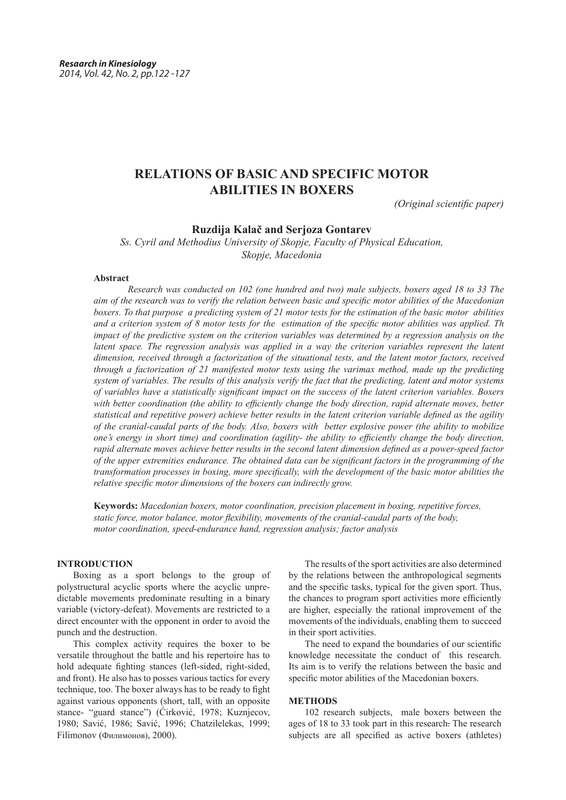# **RELATIONS OF BASIC AND SPECIFIC MOTOR ABILITIES IN BOXERS**

*(Original scientific paper)*

## **Ruzdija Kalač and Serjoza Gontarev**

*Ss. Cyril and Methodius University of Skopje, Faculty of Physical Education, Skopje, Macedonia*

### **Abstract**

*Research was conducted on 102 (one hundred and two) male subjects, boxers aged 18 to 33 The aim of the research was to verify the relation between basic and specific motor abilities of the Macedonian boxers. To that purpose a predicting system of 21 motor tests for the estimation of the basic motor abilities and a criterion system of 8 motor tests for the estimation of the specific motor abilities was applied. Th impact of the predictive system on the criterion variables was determined by a regression analysis on the latent space. The regression analysis was applied in a way the criterion variables represent the latent dimension, received through a factorization of the situational tests, and the latent motor factors, received through a factorization of 21 manifested motor tests using the varimax method, made up the predicting system of variables. The results of this analysis verify the fact that the predicting, latent and motor systems of variables have a statistically significant impact on the success of the latent criterion variables. Boxers with better coordination (the ability to efficiently change the body direction, rapid alternate moves, better statistical and repetitive power) achieve better results in the latent criterion variable defined as the agility of the cranial-caudal parts of the body. Also, boxers with better explosive power (the ability to mobilize one's energy in short time) and coordination (agility- the ability to efficiently change the body direction, rapid alternate moves achieve better results in the second latent dimension defined as a power-speed factor of the upper extremities endurance. The obtained data can be significant factors in the programming of the transformation processes in boxing, more specifically, with the development of the basic motor abilities the relative specific motor dimensions of the boxers can indirectly grow.*

**Keywords:** *Macedonian boxers, motor coordination, precision placement in boxing, repetitive forces, static force, motor balance, motor flexibility, movements of the cranial-caudal parts of the body, motor coordination, speed-endurance hand, regression analysis; factor analysis*

#### **INTRODUCTION**

Boxing as a sport belongs to the group of polystructural acyclic sports where the acyclic unpredictable movements predominate resulting in a binary variable (victory-defeat). Movements are restricted to a direct encounter with the opponent in order to avoid the punch and the destruction.

This complex activity requires the boxer to be versatile throughout the battle and his repertoire has to hold adequate fighting stances (left-sided, right-sided, and front). He also has to posses various tactics for every technique, too. The boxer always has to be ready to fight against various opponents (short, tall, with an opposite stance- "guard stance") (Ćirković, 1978; Kuznjecov, 1980; Savić, 1986; Savić, 1996; Chatzilelekas, 1999; Filimonov (Филимонов), 2000).

The results of the sport activities are also determined by the relations between the anthropological segments and the specific tasks, typical for the given sport. Thus, the chances to program sport activities more efficiently are higher, especially the rational improvement of the movements of the individuals, enabling them to succeed in their sport activities.

The need to expand the boundaries of our scientific knowledge necessitate the conduct of this research. Its aim is to verify the relations between the basic and specific motor abilities of the Macedonian boxers.

### **METHODS**

102 research subjects, male boxers between the ages of 18 to 33 took part in this research. The research subjects are all specified as active boxers (athletes)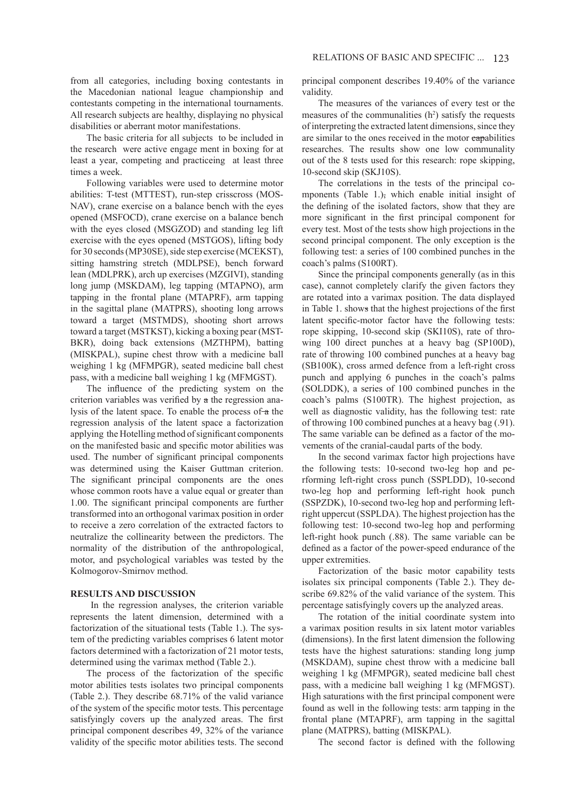from all categories, including boxing contestants in the Macedonian national league championship and contestants competing in the international tournaments. All research subjects are healthy, displaying no physical disabilities or aberrant motor manifestations.

The basic criteria for all subjects to be included in the research were active engage ment in boxing for at least a year, competing and practiceing at least three times a week.

Following variables were used to determine motor abilities: T-test (MTTEST), run-step crisscross (MOS-NAV), crane exercise on a balance bench with the eyes opened (MSFOCD), crane exercise on a balance bench with the eyes closed (MSGZOD) and standing leg lift exercise with the eyes opened (MSTGOS), lifting body for 30 seconds (MP30SE), side step exercise (MCEKST), sitting hamstring stretch (MDLPSE), bench forward lean (MDLPRK), arch up exercises (MZGIVI), standing long jump (MSKDAM), leg tapping (MTAPNO), arm tapping in the frontal plane (MTAPRF), arm tapping in the sagittal plane (MATPRS), shooting long arrows toward a target (MSTMDS), shooting short arrows toward a target (MSTKST), kicking a boxing pear (MST-BKR), doing back extensions (MZTHPM), batting (MISKPAL), supine chest throw with a medicine ball weighing 1 kg (MFMPGR), seated medicine ball chest pass, with a medicine ball weighing 1 kg (MFMGST).

The influence of the predicting system on the criterion variables was verified by a the regression analysis of the latent space. To enable the process of  $\alpha$  the regression analysis of the latent space a factorization applying the Hotelling method of significant components on the manifested basic and specific motor abilities was used. The number of significant principal components was determined using the Kaiser Guttman criterion. The significant principal components are the ones whose common roots have a value equal or greater than 1.00. The significant principal components are further transformed into an orthogonal varimax position in order to receive a zero correlation of the extracted factors to neutralize the collinearity between the predictors. The normality of the distribution of the anthropological, motor, and psychological variables was tested by the Kolmogorov-Smirnov method.

#### **RESULTS AND DISCUSSION**

 In the regression analyses, the criterion variable represents the latent dimension, determined with a factorization of the situational tests (Table 1.). The system of the predicting variables comprises 6 latent motor factors determined with a factorization of 21 motor tests, determined using the varimax method (Table 2.).

The process of the factorization of the specific motor abilities tests isolates two principal components (Table 2.). They describe 68.71% of the valid variance of the system of the specific motor tests. This percentage satisfyingly covers up the analyzed areas. The first principal component describes 49, 32% of the variance validity of the specific motor abilities tests. The second

principal component describes 19.40% of the variance validity.

The measures of the variances of every test or the measures of the communalities  $(h^2)$  satisfy the requests of interpreting the extracted latent dimensions, since they are similar to the ones received in the motor capabilities researches. The results show one low communality out of the 8 tests used for this research: rope skipping, 10-second skip (SKJ10S).

The correlations in the tests of the principal components (Table 1.), which enable initial insight of the defining of the isolated factors, show that they are more significant in the first principal component for every test. Most of the tests show high projections in the second principal component. The only exception is the following test: a series of 100 combined punches in the coach's palms (S100RT).

Since the principal components generally (as in this case), cannot completely clarify the given factors they are rotated into a varimax position. The data displayed in Table 1. shows that the highest projections of the first latent specific-motor factor have the following tests: rope skipping, 10-second skip (SKI10S), rate of throwing 100 direct punches at a heavy bag (SP100D), rate of throwing 100 combined punches at a heavy bag (SB100K), cross armed defence from a left-right cross punch and applying 6 punches in the coach's palms (SOLDDK), a series of 100 combined punches in the coach's palms (S100TR). The highest projection, as well as diagnostic validity, has the following test: rate of throwing 100 combined punches at a heavy bag (.91). The same variable can be defined as a factor of the movements of the cranial-caudal parts of the body.

In the second varimax factor high projections have the following tests: 10-second two-leg hop and performing left-right cross punch (SSPLDD), 10-second two-leg hop and performing left-right hook punch (SSPZDK), 10-second two-leg hop and performing leftright uppercut (SSPLDA). The highest projection has the following test: 10-second two-leg hop and performing left-right hook punch (.88). The same variable can be defined as a factor of the power-speed endurance of the upper extremities.

Factorization of the basic motor capability tests isolates six principal components (Table 2.). They describe 69.82% of the valid variance of the system. This percentage satisfyingly covers up the analyzed areas.

The rotation of the initial coordinate system into a varimax position results in six latent motor variables (dimensions). In the first latent dimension the following tests have the highest saturations: standing long jump (MSKDAM), supine chest throw with a medicine ball weighing 1 kg (MFMPGR), seated medicine ball chest pass, with a medicine ball weighing 1 kg (MFMGST). High saturations with the first principal component were found as well in the following tests: arm tapping in the frontal plane (MTAPRF), arm tapping in the sagittal plane (MATPRS), batting (MISKPAL).

The second factor is defined with the following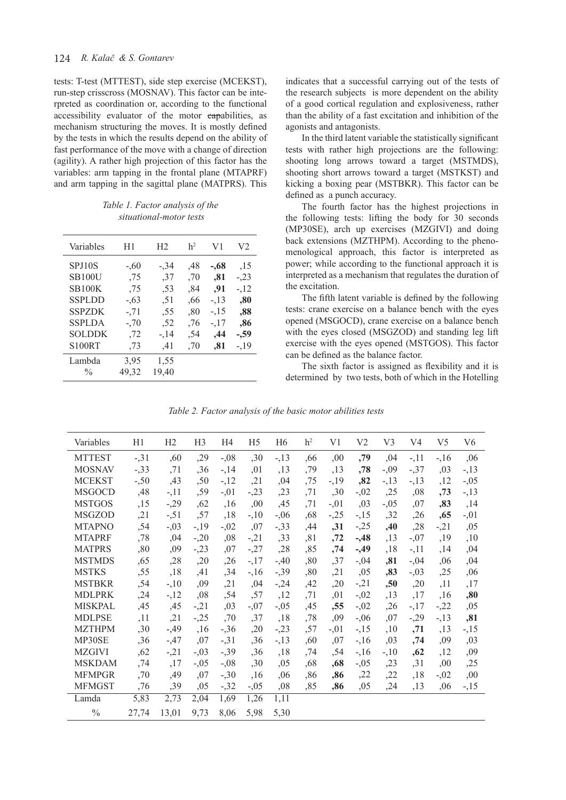## 124 *R. Kalač & S. Gontarev*

tests: T-test (MTTEST), side step exercise (MCEKST), run-step crisscross (MOSNAV). This factor can be interpreted as coordination or, according to the functional accessibility evaluator of the motor capabilities, as mechanism structuring the moves. It is mostly defined by the tests in which the results depend on the ability of fast performance of the move with a change of direction (agility). A rather high projection of this factor has the variables: arm tapping in the frontal plane (MTAPRF) and arm tapping in the sagittal plane (MATPRS). This

| Table 1. Factor analysis of the |  |  |
|---------------------------------|--|--|
| situational-motor tests         |  |  |

| Variables     | H1     | H <sub>2</sub> | h <sup>2</sup> | V1      | V <sub>2</sub> |
|---------------|--------|----------------|----------------|---------|----------------|
| SPJ10S        | $-.60$ | $-34$          | .48            | $-0.68$ | .15            |
| <b>SB100U</b> | .75    | .37            | .70            | ,81     | $-23$          |
| <b>SB100K</b> | .75    | .53            | ,84            | ,91     | $-12$          |
| <b>SSPLDD</b> | $-.63$ | ,51            | ,66            | $-13$   | ,80            |
| <b>SSPZDK</b> | $-.71$ | .55            | ,80            | $-15$   | ,88            |
| <b>SSPLDA</b> | $-.70$ | ,52            | ,76            | $-17$   | ,86            |
| <b>SOLDDK</b> | ,72    | $-14$          | .54            | .44     | -,59           |
| <b>S100RT</b> | .73    | .41            | ,70            | .81     | $-19$          |
| Lambda        | 3.95   | 1,55           |                |         |                |
| $\frac{0}{0}$ | 49,32  | 19,40          |                |         |                |

indicates that a successful carrying out of the tests of the research subjects is more dependent on the ability of a good cortical regulation and explosiveness, rather than the ability of a fast excitation and inhibition of the agonists and antagonists.

In the third latent variable the statistically significant tests with rather high projections are the following: shooting long arrows toward a target (MSTMDS), shooting short arrows toward a target (MSTKST) and kicking a boxing pear (MSTBKR). This factor can be defined as a punch accuracy.

The fourth factor has the highest projections in the following tests: lifting the body for 30 seconds (MP30SE), arch up exercises (MZGIVI) and doing back extensions (MZTHPM). According to the phenomenological approach, this factor is interpreted as power; while according to the functional approach it is interpreted as a mechanism that regulates the duration of the excitation.

The fifth latent variable is defined by the following tests: crane exercise on a balance bench with the eyes opened (MSGOCD), crane exercise on a balance bench with the eyes closed (MSGZOD) and standing leg lift exercise with the eyes opened (MSTGOS). This factor can be defined as the balance factor.

The sixth factor is assigned as flexibility and it is determined by two tests, both of which in the Hotelling

| Table 2. Factor analysis of the basic motor abilities tests |  |  |  |
|-------------------------------------------------------------|--|--|--|

| Variables      | H1    | H2      | H <sub>3</sub> | H4      | H <sub>5</sub> | H <sub>6</sub> | h <sup>2</sup> | V1      | V <sub>2</sub> | V3      | V4      | V5      | V6      |
|----------------|-------|---------|----------------|---------|----------------|----------------|----------------|---------|----------------|---------|---------|---------|---------|
| <b>MTTEST</b>  | $-31$ | ,60     | ,29            | $-0.08$ | ,30            | $-13$          | ,66            | ,00     | ,79            | ,04     | $-11$   | $-16$   | ,06     |
| <b>MOSNAV</b>  | $-33$ | , 71    | ,36            | $-14$   | ,01            | ,13            | ,79            | , 13    | ,78            | $-0.09$ | $-37$   | ,03     | $-13$   |
| <b>MCEKST</b>  | $-50$ | ,43     | ,50            | $-12$   | , 21           | ,04            | ,75            | $-1,19$ | ,82            | $-13$   | $-13$   | ,12     | $-0.05$ |
| <b>MSGOCD</b>  | ,48   | $-11$   | ,59            | $-.01$  | $-.23$         | , 23           | ,71            | ,30     | $-0.02$        | ,25     | ,08     | ,73     | $-13$   |
| <b>MSTGOS</b>  | ,15   | $-29$   | ,62            | ,16     | ,00            | ,45            | ,71            | $-.01$  | ,03            | $-.05$  | ,07     | ,83     | ,14     |
| <b>MSGZOD</b>  | , 21  | $-51$   | ,57            | ,18     | $-10$          | $-0,06$        | ,68            | $-25$   | $-1,15$        | ,32     | ,26     | ,65     | $-0.01$ |
| <b>MTAPNO</b>  | ,54   | $-.03$  | $-19$          | $-.02$  | ,07            | $-33.3$        | ,44            | ,31     | $-25$          | ,40     | ,28     | $-21$   | ,05     |
| <b>MTAPRF</b>  | ,78   | ,04     | $-20$          | ,08     | $-21$          | ,33            | ,81            | , 72    | $-48$          | , 13    | $-0.07$ | ,19     | ,10     |
| <b>MATPRS</b>  | ,80   | ,09     | $-23$          | ,07     | $-27$          | ,28            | ,85            | ,74     | $-1,49$        | ,18     | $-11$   | ,14     | ,04     |
| <b>MSTMDS</b>  | ,65   | ,28     | ,20            | ,26     | $-17$          | $-0.40$        | ,80            | ,37     | $-0.04$        | ,81     | $-0.04$ | ,06     | ,04     |
| <b>MSTKS</b>   | ,55   | ,18     | ,41            | ,34     | $-16$          | $-39$          | ,80            | ,21     | ,05            | ,83     | $-0.03$ | ,25     | ,06     |
| <b>MSTBKR</b>  | ,54   | $-,10$  | ,09            | , 21    | ,04            | $-24$          | ,42            | ,20     | $-21$          | ,50     | ,20     | ,11     | ,17     |
| <b>MDLPRK</b>  | ,24   | $-12$   | ,08            | ,54     | ,57            | ,12            | ,71            | ,01     | $-0.02$        | , 13    | ,17     | ,16     | ,80     |
| <b>MISKPAL</b> | ,45   | ,45     | $-21$          | ,03     | $-0.07$        | $-0.05$        | ,45            | ,55     | $-0.02$        | ,26     | $-17$   | $-22$   | ,05     |
| <b>MDLPSE</b>  | ,11   | , 21    | $-25$          | ,70     | ,37            | ,18            | ,78            | ,09     | $-0.06$        | ,07     | $-29$   | $-13$   | ,81     |
| <b>MZTHPM</b>  | ,30   | $-0.49$ | ,16            | $-36$   | ,20            | $-23$          | ,57            | $-0.01$ | $-1,15$        | ,10     | ,71     | ,13     | $-15$   |
| MP30SE         | ,36   | $-0.47$ | ,07            | $-31$   | ,36            | $-13$          | ,60            | ,07     | $-16$          | ,03     | ,74     | ,09     | ,03     |
| <b>MZGIVI</b>  | ,62   | $-21$   | $-.03$         | $-39$   | ,36            | ,18            | ,74            | ,54     | $-16$          | $-10$   | ,62     | ,12     | ,09     |
| <b>MSKDAM</b>  | ,74   | ,17     | $-0.05$        | $-0.08$ | ,30            | ,05            | ,68            | ,68     | $-0.05$        | , 23    | ,31     | ,00     | ,25     |
| <b>MFMPGR</b>  | ,70   | ,49     | ,07            | $-30$   | ,16            | ,06            | ,86            | ,86     | , 22           | , 22    | ,18     | $-0.02$ | ,00     |
| <b>MFMGST</b>  | ,76   | ,39     | ,05            | $-32$   | $-0.05$        | ,08            | ,85            | .86     | ,05            | , 24    | , 13    | ,06     | $-15$   |
| Lamda          | 5,83  | 2,73    | 2,04           | 1,69    | 1,26           | 1,11           |                |         |                |         |         |         |         |
| $\frac{0}{0}$  | 27,74 | 13,01   | 9,73           | 8,06    | 5,98           | 5,30           |                |         |                |         |         |         |         |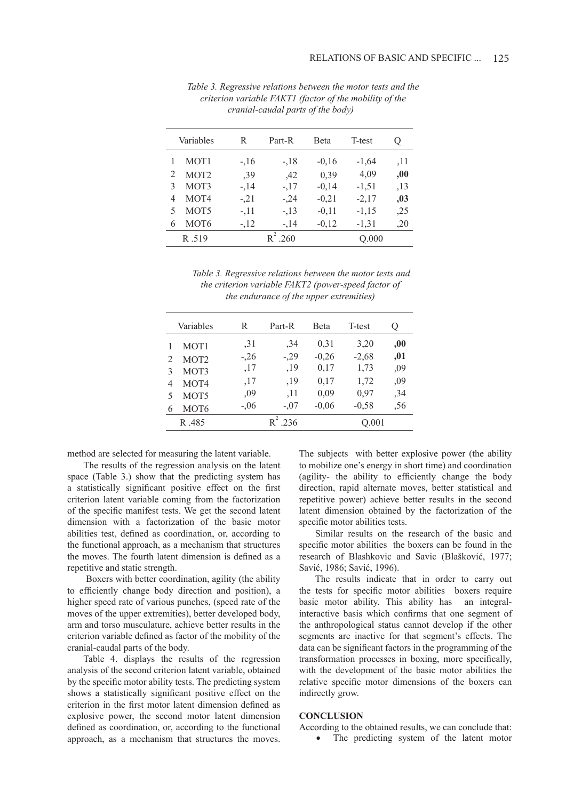|   | Variables        | R      | Part-R     | Beta    | T-test  | Q   |
|---|------------------|--------|------------|---------|---------|-----|
|   | MOT <sub>1</sub> | $-16$  | $-18$      | $-0,16$ | $-1,64$ | ,11 |
| 2 | MOT <sub>2</sub> | ,39    | ,42        | 0,39    | 4,09    | ,00 |
| 3 | MOT3             | $-14$  | $-17$      | $-0,14$ | $-1,51$ | ,13 |
| 4 | MOT4             | $-.21$ | $-24$      | $-0,21$ | $-2,17$ | ,03 |
| 5 | MOT5             | $-11$  | $-13$      | $-0,11$ | $-1,15$ | ,25 |
| 6 | MOT <sub>6</sub> | $-12$  | $-14$      | $-0,12$ | $-1,31$ | ,20 |
|   | R.519            |        | $R^2$ .260 |         | O.000   |     |

*Table 3. Regressive relations between the motor tests and the criterion variable FAKT1 (factor of the mobility of the cranial-caudal parts of the body)*

| Table 3. Regressive relations between the motor tests and |
|-----------------------------------------------------------|
| the criterion variable FAKT2 (power-speed factor of       |
| the endurance of the upper extremities)                   |

|   | Variables        | R      | Part-R                 | Beta    | T-test  | Ő    |
|---|------------------|--------|------------------------|---------|---------|------|
|   | MOT <sub>1</sub> | 31     | ,34                    | 0.31    | 3,20    | ,00  |
| 2 | MOT <sub>2</sub> | $-.26$ | $-29$                  | $-0,26$ | $-2,68$ | , 01 |
| 3 | MOT3             | ,17    | ,19                    | 0,17    | 1,73    | ,09  |
| 4 | MOT <sub>4</sub> | .17    | ,19                    | 0,17    | 1,72    | ,09  |
| 5 | MOT <sub>5</sub> | .09    | ,11                    | 0,09    | 0,97    | ,34  |
| 6 | MOT <sub>6</sub> | $-.06$ | $-0.07$                | $-0,06$ | $-0,58$ | ,56  |
|   | R .485           |        | $\mathbb{R}^n$<br>-236 |         | 0.001   |      |

method are selected for measuring the latent variable.

The results of the regression analysis on the latent space (Table 3.) show that the predicting system has a statistically significant positive effect on the first criterion latent variable coming from the factorization of the specific manifest tests. We get the second latent dimension with a factorization of the basic motor abilities test, defined as coordination, or, according to the functional approach, as a mechanism that structures the moves. The fourth latent dimension is defined as a repetitive and static strength.

 Boxers with better coordination, agility (the ability to efficiently change body direction and position), a higher speed rate of various punches, (speed rate of the moves of the upper extremities), better developed body, arm and torso musculature, achieve better results in the criterion variable defined as factor of the mobility of the cranial-caudal parts of the body.

Table 4. displays the results of the regression analysis of the second criterion latent variable, obtained by the specific motor ability tests. The predicting system shows a statistically significant positive effect on the criterion in the first motor latent dimension defined as explosive power, the second motor latent dimension defined as coordination, or, according to the functional approach, as a mechanism that structures the moves. The subjects with better explosive power (the ability to mobilize one's energy in short time) and coordination (agility- the ability to efficiently change the body direction, rapid alternate moves, better statistical and repetitive power) achieve better results in the second latent dimension obtained by the factorization of the specific motor abilities tests.

Similar results on the research of the basic and specific motor abilities the boxers can be found in the research of Blashkovic and Savic (Blašković, 1977; Savić, 1986; Savić, 1996).

The results indicate that in order to carry out the tests for specific motor abilities boxers require basic motor ability. This ability has an integralinteractive basis which confirms that one segment of the anthropological status cannot develop if the other segments are inactive for that segment's effects. The data can be significant factors in the programming of the transformation processes in boxing, more specifically, with the development of the basic motor abilities the relative specific motor dimensions of the boxers can indirectly grow.

#### **CONCLUSION**

According to the obtained results, we can conclude that:

• The predicting system of the latent motor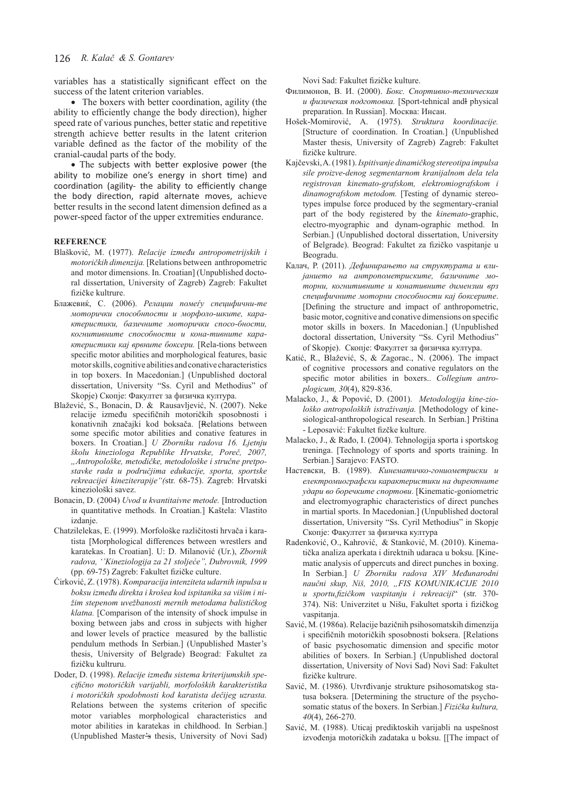variables has a statistically significant effect on the success of the latent criterion variables.

• The boxers with better coordination, agility (the ability to efficiently change the body direction), higher speed rate of various punches, better static and repetitive strength achieve better results in the latent criterion variable defined as the factor of the mobility of the cranial-caudal parts of the body.

• The subjects with better explosive power (the ability to mobilize one's energy in short time) and coordination (agility- the ability to efficiently change the body direction, rapid alternate moves, achieve better results in the second latent dimension defined as a power-speed factor of the upper extremities endurance.

#### **REFERENCE**

- Blašković, M. (1977). *Relacije između antropometrijskih i motoričkih dimenzija.* [Relations between anthropometric and motor dimensions. In. Croatian] (Unpublished doctoral dissertation, University of Zagreb) Zagreb: Fakultet fizičke kultrure.
- Блажевиќ, С. (2006). *Релации помеѓу специфични-те моторички способнпости и морфоло-шките, карактеристики, базичните моторички спосо-бности, когнитивните способности и кона-тивните карактеристики кај врвните боксери.* [Rela-tions between specific motor abilities and morphological features, basic motor skills, cognitive abilities and conative characteristics in top boxers. In Macedonian.] (Unpublished doctoral dissertation, University "Ss. Cyril and Methodius" of Skopje) Скопје: Факултет за физичка култура.
- Blažević, S., Bonacin, D. & Rausavljević, N. (2007). Neke relacije između specifičnih motoričkih sposobnosti i konativnih značajki kod boksača. [Relations between some specific motor abilities and conative features in boxers. In Croatian.] *U Zborniku radova 16. Ljetnju školu kineziologa Republike Hrvatske, Poreč, 2007, "Antropološke, metodičke, metodološke i stručne pretpostavke rada u područjima edukacije, sporta, sportske rekreacijei kineziterapije"(*str. 68-75). Zagreb: Hrvatski kineziološki savez.
- Bonacin, D. (2004) *Uvod u kvantitaivne metode.* [Introduction in quantitative methods. In Croatian.] Kaštela: Vlastito izdanje.
- Chatzilelekas, E. (1999). Morfološke različitosti hrvača i karatista [Morphological differences between wrestlers and karatekas. In Croatian]. U: D. Milanović (Ur.), *Zbornik radova, ''Kineziologija za 21 stoljeće'', Dubrovnik, 1999* (pp. 69-75) Zagreb: Fakultet fizičke culture.
- Ćirković, Z. (1978). *Komparacija intenziteta udarnih inpulsa u boksu između direkta i krošea kod ispitanika sa višim i nižim stepenom uvežbanosti mernih metodama balističkog klatna.* [Comparison of the intensity of shock impulse in boxing between jabs and cross in subjects with higher and lower levels of practice measured by the ballistic pendulum methods In Serbian.] (Unpublished Master's thesis, University of Belgrade) Beograd: Fakultet za fizičku kultruru.
- Doder, D. (1998). *Relacije između sistema kriterijumskih specifično motoričkih varijabli, morfoloških karakteristika i motoričkih spodobnosti kod karatista dečijeg uzrasta.*  Relations between the systems criterion of specific motor variables morphological characteristics and motor abilities in karatekas in childhood. In Serbian.] (Unpublished Master's thesis, University of Novi Sad)

Novi Sad: Fakultet fizičke kulture.

- Филимонов, В. И. (2000). *Бокс. Спортивно-техническая и физичекая подготовка.* [Sport-tehnical andl physical preparation. In Russian]. Москва: Инсан.
- Hošek-Momirović, A. (1975). *Struktura koordinacije.*  [Structure of coordination. In Croatian.] (Unpublished Master thesis, University of Zagreb) Zagreb: Fakultet fizičke kultrure.
- Kajčevski, A. (1981). *Ispitivanje dinamičkog stereotipa impulsa sile proizve-denog segmentarnom kranijalnom dela tela registrovan kinemato-grafskom, elektromiografskom i dinamografskom metodom.* [Testing of dynamic stereotypes impulse force produced by the segmentary-cranial part of the body registered by the *kinemato*-graphic, electro-myographic and dynam-ographic method. In Serbian.] (Unpublished doctoral dissertation, University of Belgrade). Beograd: Fakultet za fizičko vaspitanje u Beogradu.
- Калач, Р. (2011). *Дефинирањето на структурата и влијанието на антропометриските, базичните моторни, когнитивните и конативните димензии врз специфичните моторни способности кај боксерите*. [Defining the structure and impact of anthropometric, basic motor, cognitive and conative dimensions on specific motor skills in boxers. In Macedonian.] (Unpublished doctoral dissertation, University "Ss. Cyril Methodius" of Skopje). Скопје: Факултет за физичка култура.
- Katić, R., Blažević, S, & Zagorac., N. (2006). The impact of cognitive processors and conative regulators on the specific motor abilities in boxers.. *Collegium antroplogicum, 30*(4), 829-836.
- Malacko, J., & Popović, D. (2001). *Metodologija kine-ziološko antropoloških istraživanja.* [Methodology of kinesiological-anthropological research. In Serbian.] Priština - Leposavić: Fakultet fizčke kulture.
- Malacko, J., & Rađo, I. (2004). Tehnologija sporta i sportskog treninga. [Technology of sports and sports training. In Serbian.] Sarajevo: FASTO.
- Настевски, В. (1989). *Кинематичко-гониометриски и електромиографски карактеристики на директните удари во боречките спортови*. [Kinematic-goniometric and electromyographic characteristics of direct punches in martial sports. In Macedonian.] (Unpublished doctoral dissertation, University "Ss. Cyril Methodius" in Skopje Скопје: Факултет за физичка култура
- Radenković, O., Kahrović, & Stanković, M. (2010). Kinematička analiza aperkata i direktnih udaraca u boksu. [Kinematic analysis of uppercuts and direct punches in boxing. In Serbian.] *U Zborniku radova XIV Međunarodni naučni skup, Niš, 2010, "FIS KOMUNIKACIJE 2010 u sportu,fizičkom vaspitanju i rekreaciji*" (str. 370- 374). Niš: Univerzitet u Nišu, Fakultet sporta i fizičkog vaspitanja.
- Savić, M. (1986a). Relacije bazičnih psihosomatskih dimenzija i specifičnih motoričkih sposobnosti boksera. [Relations of basic psychosomatic dimension and specific motor abilities of boxers. In Serbian.] (Unpublished doctoral dissertation, University of Novi Sad) Novi Sad: Fakultet fizičke kultrure.
- Savić, M. (1986). Utvrđivanje strukture psihosomatskog statusa boksera. [Determining the structure of the psychosomatic status of the boxers. In Serbian.] *Fizička kultura, 40*(4), 266-270.
- Savić, M. (1988). Uticaj prediktoskih varijabli na uspešnost izvođenja motoričkih zadataka u boksu. [[The impact of